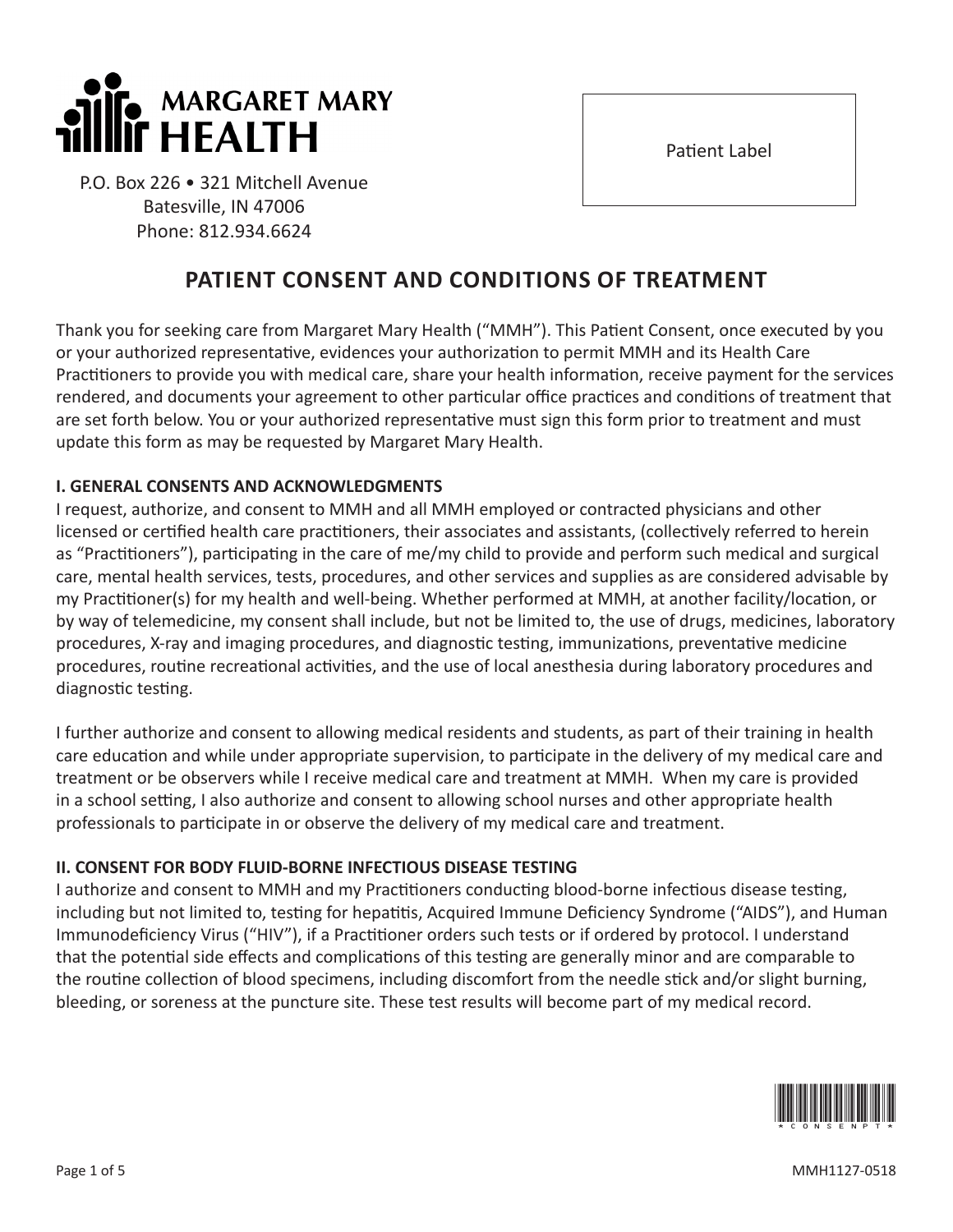

P.O. Box 226 • 321 Mitchell Avenue Batesville, IN 47006 Phone: 812.934.6624

# Thank you for seeking care from Margaret Mary Health ("MMH"). This Patient Consent, once executed by you or your authorized representative, evidences your authorization to permit MMH and its Health Care Practitioners to provide you with medical care, share your health information, receive payment for the services rendered, and documents your agreement to other particular office practices and conditions of treatment that are set forth below. You or your authorized representative must sign this form prior to treatment and must update this form as may be requested by Margaret Mary Health.

**PATIENT CONSENT AND CONDITIONS OF TREATMENT**

# **I. GENERAL CONSENTS AND ACKNOWLEDGMENTS**

I request, authorize, and consent to MMH and all MMH employed or contracted physicians and other licensed or certified health care practitioners, their associates and assistants, (collectively referred to herein as "Practitioners"), participating in the care of me/my child to provide and perform such medical and surgical care, mental health services, tests, procedures, and other services and supplies as are considered advisable by my Practitioner(s) for my health and well-being. Whether performed at MMH, at another facility/location, or by way of telemedicine, my consent shall include, but not be limited to, the use of drugs, medicines, laboratory procedures, X-ray and imaging procedures, and diagnostic testing, immunizations, preventative medicine procedures, routine recreational activities, and the use of local anesthesia during laboratory procedures and diagnostic testing.

I further authorize and consent to allowing medical residents and students, as part of their training in health care education and while under appropriate supervision, to participate in the delivery of my medical care and treatment or be observers while I receive medical care and treatment at MMH. When my care is provided in a school setting, I also authorize and consent to allowing school nurses and other appropriate health professionals to participate in or observe the delivery of my medical care and treatment.

# **II. CONSENT FOR BODY FLUID-BORNE INFECTIOUS DISEASE TESTING**

I authorize and consent to MMH and my Practitioners conducting blood-borne infectious disease testing, including but not limited to, testing for hepatitis, Acquired Immune Deficiency Syndrome ("AIDS"), and Human Immunodeficiency Virus ("HIV"), if a Practitioner orders such tests or if ordered by protocol. I understand that the potential side effects and complications of this testing are generally minor and are comparable to the routine collection of blood specimens, including discomfort from the needle stick and/or slight burning, bleeding, or soreness at the puncture site. These test results will become part of my medical record.



Patient Label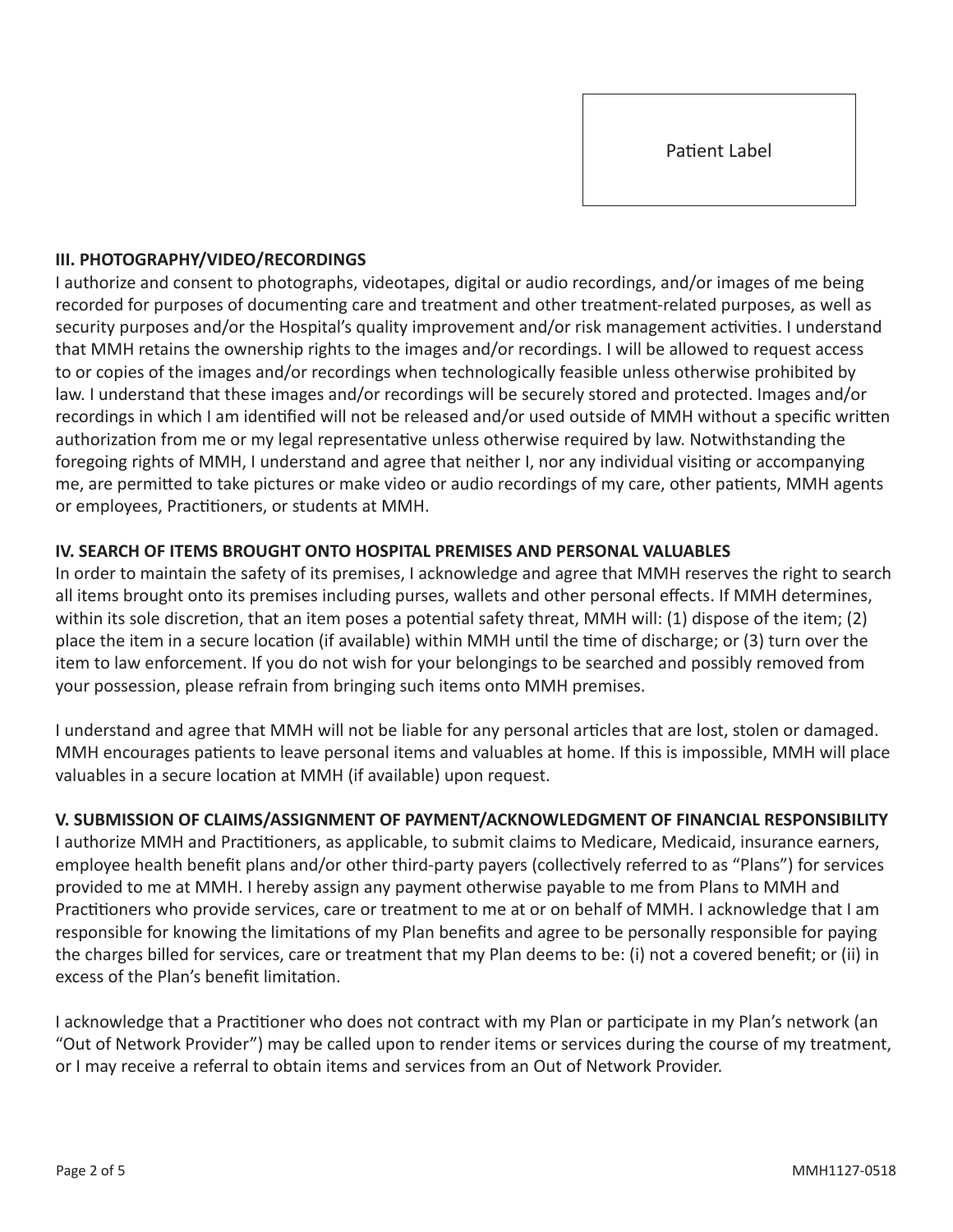## **III. PHOTOGRAPHY/VIDEO/RECORDINGS**

I authorize and consent to photographs, videotapes, digital or audio recordings, and/or images of me being recorded for purposes of documenting care and treatment and other treatment-related purposes, as well as security purposes and/or the Hospital's quality improvement and/or risk management activities. I understand that MMH retains the ownership rights to the images and/or recordings. I will be allowed to request access to or copies of the images and/or recordings when technologically feasible unless otherwise prohibited by law. I understand that these images and/or recordings will be securely stored and protected. Images and/or recordings in which I am identified will not be released and/or used outside of MMH without a specific written authorization from me or my legal representative unless otherwise required by law. Notwithstanding the foregoing rights of MMH, I understand and agree that neither I, nor any individual visiting or accompanying me, are permitted to take pictures or make video or audio recordings of my care, other patients, MMH agents or employees, Practitioners, or students at MMH.

## **IV. SEARCH OF ITEMS BROUGHT ONTO HOSPITAL PREMISES AND PERSONAL VALUABLES**

In order to maintain the safety of its premises, I acknowledge and agree that MMH reserves the right to search all items brought onto its premises including purses, wallets and other personal effects. If MMH determines, within its sole discretion, that an item poses a potential safety threat, MMH will: (1) dispose of the item; (2) place the item in a secure location (if available) within MMH until the time of discharge; or (3) turn over the item to law enforcement. If you do not wish for your belongings to be searched and possibly removed from your possession, please refrain from bringing such items onto MMH premises.

I understand and agree that MMH will not be liable for any personal articles that are lost, stolen or damaged. MMH encourages patients to leave personal items and valuables at home. If this is impossible, MMH will place valuables in a secure location at MMH (if available) upon request.

## **V. SUBMISSION OF CLAIMS/ASSIGNMENT OF PAYMENT/ACKNOWLEDGMENT OF FINANCIAL RESPONSIBILITY**

I authorize MMH and Practitioners, as applicable, to submit claims to Medicare, Medicaid, insurance earners, employee health benefit plans and/or other third-party payers (collectively referred to as "Plans") for services provided to me at MMH. I hereby assign any payment otherwise payable to me from Plans to MMH and Practitioners who provide services, care or treatment to me at or on behalf of MMH. I acknowledge that I am responsible for knowing the limitations of my Plan benefits and agree to be personally responsible for paying the charges billed for services, care or treatment that my Plan deems to be: (i) not a covered benefit; or (ii) in excess of the Plan's benefit limitation.

I acknowledge that a Practitioner who does not contract with my Plan or participate in my Plan's network (an "Out of Network Provider") may be called upon to render items or services during the course of my treatment, or I may receive a referral to obtain items and services from an Out of Network Provider.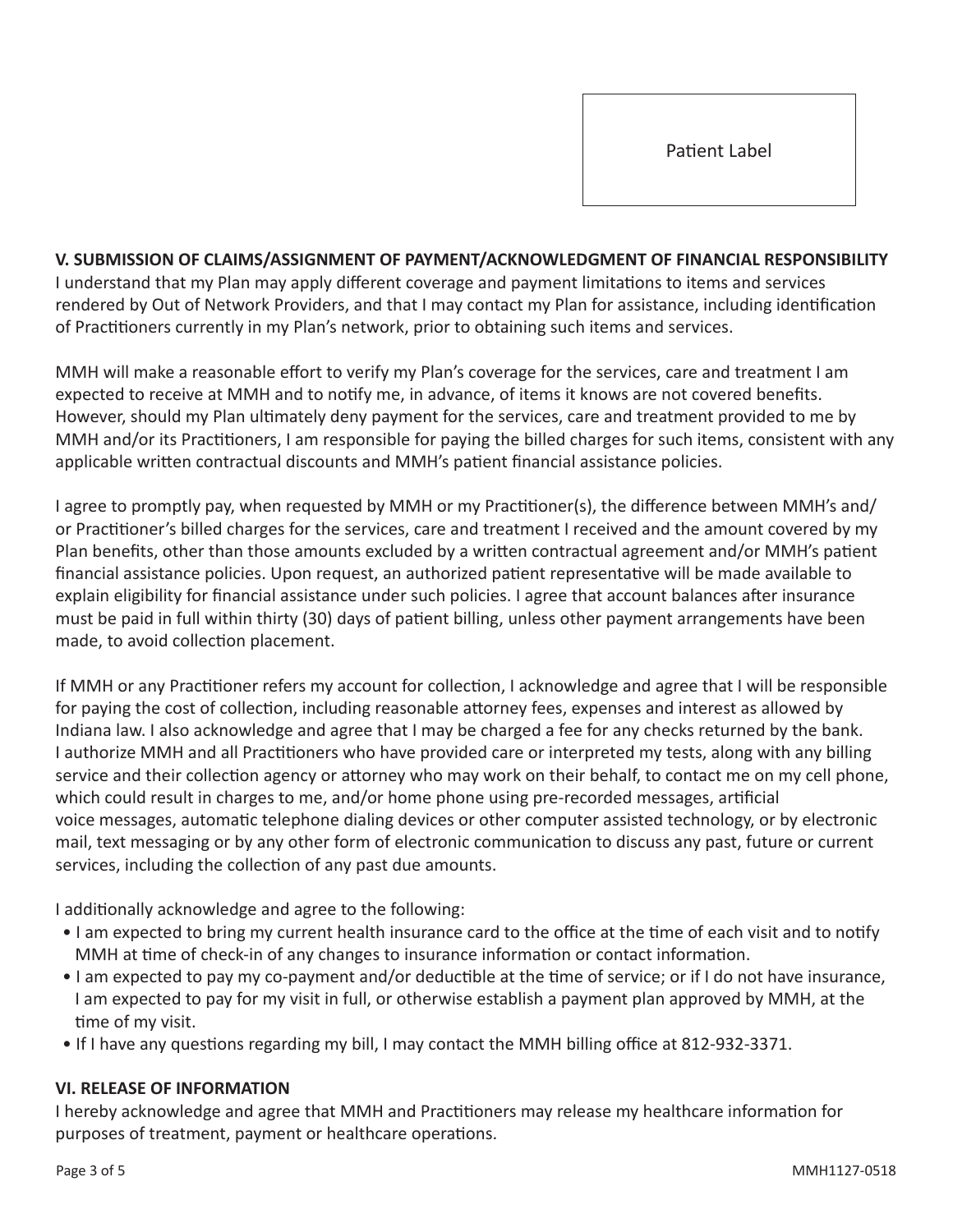Patient Label

**V. SUBMISSION OF CLAIMS/ASSIGNMENT OF PAYMENT/ACKNOWLEDGMENT OF FINANCIAL RESPONSIBILITY** I understand that my Plan may apply different coverage and payment limitations to items and services rendered by Out of Network Providers, and that I may contact my Plan for assistance, including identification of Practitioners currently in my Plan's network, prior to obtaining such items and services.

MMH will make a reasonable effort to verify my Plan's coverage for the services, care and treatment I am expected to receive at MMH and to notify me, in advance, of items it knows are not covered benefits. However, should my Plan ultimately deny payment for the services, care and treatment provided to me by MMH and/or its Practitioners, I am responsible for paying the billed charges for such items, consistent with any applicable written contractual discounts and MMH's patient financial assistance policies.

I agree to promptly pay, when requested by MMH or my Practitioner(s), the difference between MMH's and/ or Practitioner's billed charges for the services, care and treatment I received and the amount covered by my Plan benefits, other than those amounts excluded by a written contractual agreement and/or MMH's patient financial assistance policies. Upon request, an authorized patient representative will be made available to explain eligibility for financial assistance under such policies. I agree that account balances after insurance must be paid in full within thirty (30) days of patient billing, unless other payment arrangements have been made, to avoid collection placement.

If MMH or any Practitioner refers my account for collection, I acknowledge and agree that I will be responsible for paying the cost of collection, including reasonable attorney fees, expenses and interest as allowed by Indiana law. I also acknowledge and agree that I may be charged a fee for any checks returned by the bank. I authorize MMH and all Practitioners who have provided care or interpreted my tests, along with any billing service and their collection agency or attorney who may work on their behalf, to contact me on my cell phone, which could result in charges to me, and/or home phone using pre-recorded messages, artificial voice messages, automatic telephone dialing devices or other computer assisted technology, or by electronic mail, text messaging or by any other form of electronic communication to discuss any past, future or current services, including the collection of any past due amounts.

I additionally acknowledge and agree to the following:

- I am expected to bring my current health insurance card to the office at the time of each visit and to notify MMH at time of check-in of any changes to insurance information or contact information.
- I am expected to pay my co-payment and/or deductible at the time of service; or if I do not have insurance, I am expected to pay for my visit in full, or otherwise establish a payment plan approved by MMH, at the time of my visit.
- If I have any questions regarding my bill, I may contact the MMH billing office at 812-932-3371.

## **VI. RELEASE OF INFORMATION**

I hereby acknowledge and agree that MMH and Practitioners may release my healthcare information for purposes of treatment, payment or healthcare operations.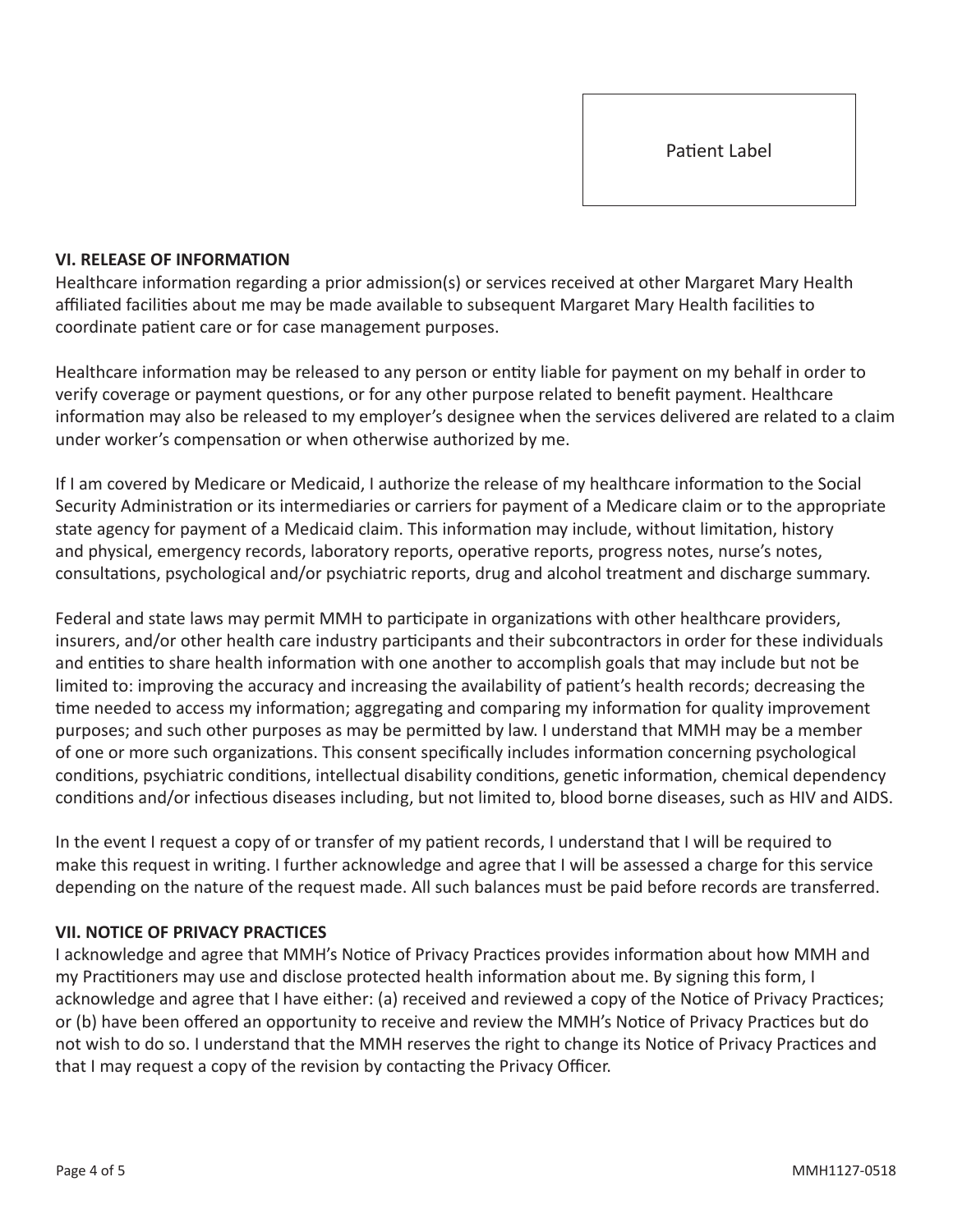#### **VI. RELEASE OF INFORMATION**

Healthcare information regarding a prior admission(s) or services received at other Margaret Mary Health affiliated facilities about me may be made available to subsequent Margaret Mary Health facilities to coordinate patient care or for case management purposes.

Healthcare information may be released to any person or entity liable for payment on my behalf in order to verify coverage or payment questions, or for any other purpose related to benefit payment. Healthcare information may also be released to my employer's designee when the services delivered are related to a claim under worker's compensation or when otherwise authorized by me.

If I am covered by Medicare or Medicaid, I authorize the release of my healthcare information to the Social Security Administration or its intermediaries or carriers for payment of a Medicare claim or to the appropriate state agency for payment of a Medicaid claim. This information may include, without limitation, history and physical, emergency records, laboratory reports, operative reports, progress notes, nurse's notes, consultations, psychological and/or psychiatric reports, drug and alcohol treatment and discharge summary.

Federal and state laws may permit MMH to participate in organizations with other healthcare providers, insurers, and/or other health care industry participants and their subcontractors in order for these individuals and entities to share health information with one another to accomplish goals that may include but not be limited to: improving the accuracy and increasing the availability of patient's health records; decreasing the time needed to access my information; aggregating and comparing my information for quality improvement purposes; and such other purposes as may be permitted by law. I understand that MMH may be a member of one or more such organizations. This consent specifically includes information concerning psychological conditions, psychiatric conditions, intellectual disability conditions, genetic information, chemical dependency conditions and/or infectious diseases including, but not limited to, blood borne diseases, such as HIV and AIDS.

In the event I request a copy of or transfer of my patient records, I understand that I will be required to make this request in writing. I further acknowledge and agree that I will be assessed a charge for this service depending on the nature of the request made. All such balances must be paid before records are transferred.

## **VII. NOTICE OF PRIVACY PRACTICES**

I acknowledge and agree that MMH's Notice of Privacy Practices provides information about how MMH and my Practitioners may use and disclose protected health information about me. By signing this form, I acknowledge and agree that I have either: (a) received and reviewed a copy of the Notice of Privacy Practices; or (b) have been offered an opportunity to receive and review the MMH's Notice of Privacy Practices but do not wish to do so. I understand that the MMH reserves the right to change its Notice of Privacy Practices and that I may request a copy of the revision by contacting the Privacy Officer.